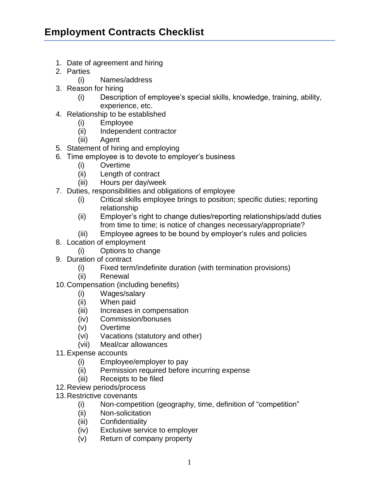## **Employment Contracts Checklist**

- 1. Date of agreement and hiring
- 2. Parties
	- (i) Names/address
- 3. Reason for hiring
	- (i) Description of employee's special skills, knowledge, training, ability, experience, etc.
- 4. Relationship to be established
	- (i) Employee
	- (ii) Independent contractor
	- (iii) Agent
- 5. Statement of hiring and employing
- 6. Time employee is to devote to employer's business
	- (i) Overtime
	- (ii) Length of contract
	- (iii) Hours per day/week
- 7. Duties, responsibilities and obligations of employee
	- (i) Critical skills employee brings to position; specific duties; reporting relationship
	- (ii) Employer's right to change duties/reporting relationships/add duties from time to time; is notice of changes necessary/appropriate?
	- (iii) Employee agrees to be bound by employer's rules and policies
- 8. Location of employment
	- (i) Options to change
- 9. Duration of contract
	- (i) Fixed term/indefinite duration (with termination provisions)
	- (ii) Renewal
- 10.Compensation (including benefits)
	- (i) Wages/salary
	- (ii) When paid
	- (iii) Increases in compensation
	- (iv) Commission/bonuses
	- (v) Overtime
	- (vi) Vacations (statutory and other)
	- (vii) Meal/car allowances
- 11.Expense accounts
	- (i) Employee/employer to pay
	- (ii) Permission required before incurring expense
	- (iii) Receipts to be filed
- 12.Review periods/process
- 13.Restrictive covenants
	- (i) Non-competition (geography, time, definition of "competition"
	- (ii) Non-solicitation
	- (iii) Confidentiality
	- (iv) Exclusive service to employer
	- (v) Return of company property